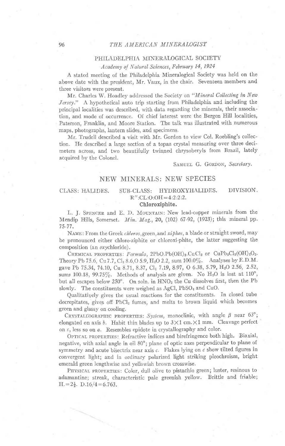# 96 THE AMERICAN MINERALOGIST

### PHILADELPHIA MINERALOGICAL SOCIETY

## Academy of Natural Sciences, February 14, 1924

A stated meeting of the Philadelphia Mineralogical Society was held on the above date with the president, Mr. Vaux, in the chair. Seventeen members and three visitors were present.

Mr. Charles W. Hoadley addressed the Society on "Mineral Collecting in New Jersey." A hypothetical auto trip starting from Philadelphia and including the principal localities was described, with data regarding the minerals, their association, and mode of occurrence. Of chief interest were the Bergen Hill localities, Paterson, Franklin, and Moore Station. The talk was illustrated with numerous maps, photographs, Iantern slides, and specimens.

Mr. Trudell described a visit with Mr. Gordon to view Col. Roebling's collection. He described a large section of a topaz crystal measuring over three decimeters across, and two beautifully twinned chrysoberyls from Brazil, lately acquired by the Colonel.

SAMUEL G. GORDON, Secretary.

# NEW MINERALS: NEW SPECIES

### CLASS: HALIDES.

### $R''$ :CL:O:OH=4:2:2:2.

SUB-CLASS: HYDROXYHALIDES. DIVISION.

### Chloroxiphite.

L. J. SPENCER and E. D. MOUNTAIN: New lead-copper minerals from the Mendip Hills, Somerset.  $Min.$  Mag., 20, (102) 67-92, (1923); this mineral pp. 75-77.

NAME: From the Greek chloros, green, and xiphos, a blade or straight sword, may be pronounced either chloro-ziphite or chloroxi-phite, the latter suggesting the composition (an *oxychloride*).

CHEMICAL PROPERTIES: Formula, 2PbO.Pb(OH)<sub>2</sub>.CuCl<sub>2</sub> or CuPb<sub>3</sub>Cl<sub>2</sub>(OH)<sub>2</sub>O<sub>2</sub>. Theory Pb 75.6, Cu 7.7, Cl<sub>2</sub> 8.6, O 5.9, H<sub>2</sub>O 2.2, sum 100.0%. Analyses by E.D.M. gave Pb 75.34, 74.10, Cu 8.71, 8.37, Cl<sub>2</sub> 7.19, 8.97, O 6.38, 5.79, H<sub>2</sub>O 2.56, 2.52, sums 100.18, 99.75%. Methods of analysis are given. No  $H_2O$  is lost at  $110^\circ$ , but all escapes below 250°. On soln. in HNO<sub>3</sub> the Cu dissolves first, then the Pb slowly. The constituents were weighed as AgCl, PbSO<sub>4</sub> and CuO.

Qualitatiyely gives the usual reactions for the constituents. In closed tube decrepitates, gives off  $PbCl<sub>2</sub>$  fumes, and melts to brown liquid which becomes green and glassy on cooling.

CRYSTALLOGRAPHIC PROPERTIES: System, monoclinic, with angle  $\beta$  near 63°; elongated on axis b. Habit thin blades up to  $3 \times 1$  cm. $\times 1$  mm. Cleavage perfect on  $c$ , less so on  $a$ . Resembles epidote in crystallography and color.

OPTICAL PROPERTIES: Refractive indices and birefringence both high. Biaxial, negative, with axial angle in oil 80°; plane of optic axes perpendicular to plane of symmetry and acute bisectrix near axis  $c$ . Flakes lying on  $c$  show tilted figures in convergent light; and in ordinary polarized light striking pleochroism, bright emerald green lengthwise and yellowish brown crosswise.

PHYSICAL PROPERTIES: Color, dull olive to pistachio green; luster, resinous to adamantine; streak, characteristic pale greenish yellow. Brittle and friable;  $H = 2\frac{1}{2}$ . D.16/4=6.763.